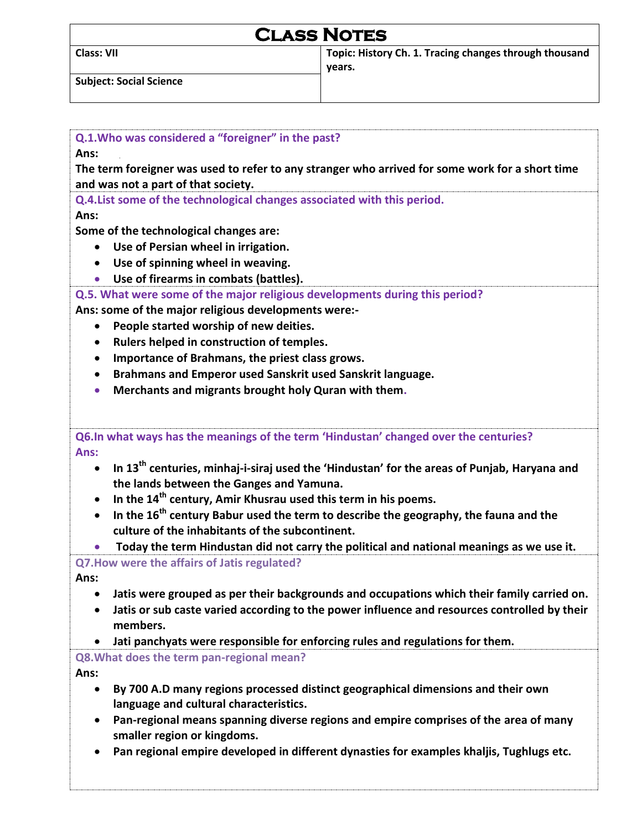| <b>CLASS NOTES</b>             |                                                                  |  |
|--------------------------------|------------------------------------------------------------------|--|
| <b>Class: VII</b>              | Topic: History Ch. 1. Tracing changes through thousand<br>vears. |  |
| <b>Subject: Social Science</b> |                                                                  |  |

| Q.1. Who was considered a "foreigner" in the past?                                                                                                                                                                                                                                                                                                                                                                                                                                                                                                                                                |  |  |                                                        |
|---------------------------------------------------------------------------------------------------------------------------------------------------------------------------------------------------------------------------------------------------------------------------------------------------------------------------------------------------------------------------------------------------------------------------------------------------------------------------------------------------------------------------------------------------------------------------------------------------|--|--|--------------------------------------------------------|
| Ans:<br>The term foreigner was used to refer to any stranger who arrived for some work for a short time                                                                                                                                                                                                                                                                                                                                                                                                                                                                                           |  |  |                                                        |
|                                                                                                                                                                                                                                                                                                                                                                                                                                                                                                                                                                                                   |  |  | and was not a part of that society.                    |
| Q.4. List some of the technological changes associated with this period.                                                                                                                                                                                                                                                                                                                                                                                                                                                                                                                          |  |  |                                                        |
| Ans:<br>Some of the technological changes are:<br>Use of Persian wheel in irrigation.<br>$\bullet$                                                                                                                                                                                                                                                                                                                                                                                                                                                                                                |  |  |                                                        |
|                                                                                                                                                                                                                                                                                                                                                                                                                                                                                                                                                                                                   |  |  | Use of spinning wheel in weaving.<br>$\bullet$         |
|                                                                                                                                                                                                                                                                                                                                                                                                                                                                                                                                                                                                   |  |  | Use of firearms in combats (battles).<br>$\bullet$     |
| Q.5. What were some of the major religious developments during this period?                                                                                                                                                                                                                                                                                                                                                                                                                                                                                                                       |  |  |                                                        |
| Ans: some of the major religious developments were:-<br>People started worship of new deities.<br>$\bullet$                                                                                                                                                                                                                                                                                                                                                                                                                                                                                       |  |  |                                                        |
|                                                                                                                                                                                                                                                                                                                                                                                                                                                                                                                                                                                                   |  |  | Rulers helped in construction of temples.<br>$\bullet$ |
| Importance of Brahmans, the priest class grows.<br>$\bullet$                                                                                                                                                                                                                                                                                                                                                                                                                                                                                                                                      |  |  |                                                        |
| Brahmans and Emperor used Sanskrit used Sanskrit language.<br>$\bullet$                                                                                                                                                                                                                                                                                                                                                                                                                                                                                                                           |  |  |                                                        |
| Merchants and migrants brought holy Quran with them.<br>$\bullet$                                                                                                                                                                                                                                                                                                                                                                                                                                                                                                                                 |  |  |                                                        |
| Q6.In what ways has the meanings of the term 'Hindustan' changed over the centuries?<br>Ans:<br>In 13 <sup>th</sup> centuries, minhaj-i-siraj used the 'Hindustan' for the areas of Punjab, Haryana and<br>$\bullet$<br>the lands between the Ganges and Yamuna.<br>In the 14 <sup>th</sup> century, Amir Khusrau used this term in his poems.<br>In the 16 <sup>th</sup> century Babur used the term to describe the geography, the fauna and the<br>culture of the inhabitants of the subcontinent.<br>Today the term Hindustan did not carry the political and national meanings as we use it. |  |  |                                                        |
| Q7. How were the affairs of Jatis regulated?                                                                                                                                                                                                                                                                                                                                                                                                                                                                                                                                                      |  |  |                                                        |
| Ans:                                                                                                                                                                                                                                                                                                                                                                                                                                                                                                                                                                                              |  |  |                                                        |
| Jatis were grouped as per their backgrounds and occupations which their family carried on                                                                                                                                                                                                                                                                                                                                                                                                                                                                                                         |  |  |                                                        |
| Jatis or sub caste varied according to the power influence and resources controlled by their<br>members.                                                                                                                                                                                                                                                                                                                                                                                                                                                                                          |  |  |                                                        |
|                                                                                                                                                                                                                                                                                                                                                                                                                                                                                                                                                                                                   |  |  |                                                        |
| Jati panchyats were responsible for enforcing rules and regulations for them.<br>Q8. What does the term pan-regional mean?                                                                                                                                                                                                                                                                                                                                                                                                                                                                        |  |  |                                                        |
| Ans:                                                                                                                                                                                                                                                                                                                                                                                                                                                                                                                                                                                              |  |  |                                                        |
| By 700 A.D many regions processed distinct geographical dimensions and their own<br>$\bullet$                                                                                                                                                                                                                                                                                                                                                                                                                                                                                                     |  |  |                                                        |
| language and cultural characteristics.                                                                                                                                                                                                                                                                                                                                                                                                                                                                                                                                                            |  |  |                                                        |
| Pan-regional means spanning diverse regions and empire comprises of the area of many                                                                                                                                                                                                                                                                                                                                                                                                                                                                                                              |  |  |                                                        |
| smaller region or kingdoms.                                                                                                                                                                                                                                                                                                                                                                                                                                                                                                                                                                       |  |  |                                                        |
| Pan regional empire developed in different dynasties for examples khaljis, Tughlugs etc.                                                                                                                                                                                                                                                                                                                                                                                                                                                                                                          |  |  |                                                        |
|                                                                                                                                                                                                                                                                                                                                                                                                                                                                                                                                                                                                   |  |  |                                                        |
|                                                                                                                                                                                                                                                                                                                                                                                                                                                                                                                                                                                                   |  |  |                                                        |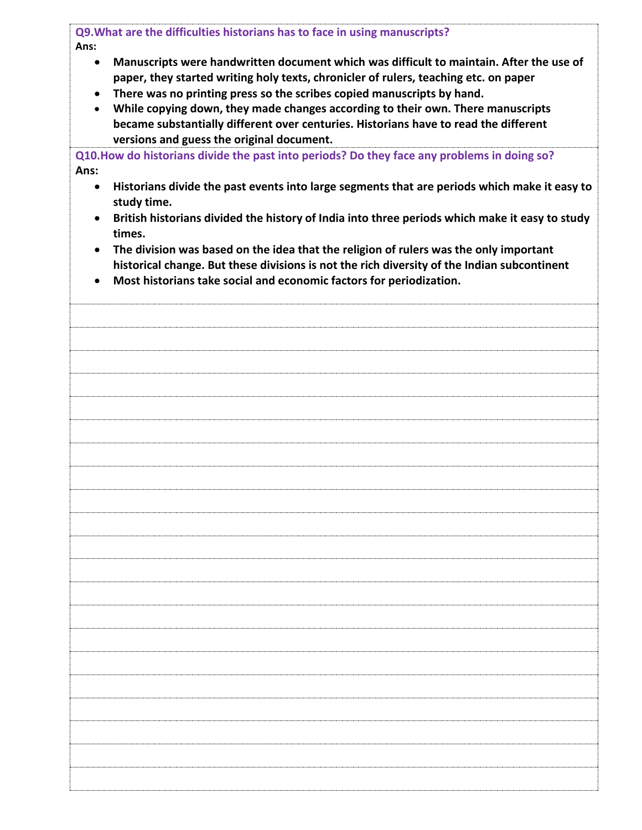| Q9. What are the difficulties historians has to face in using manuscripts?                                                                                                                                                                                                                                                                                                                                                                                                                                                       |                                                                                                                                                                                                                                                             |  |
|----------------------------------------------------------------------------------------------------------------------------------------------------------------------------------------------------------------------------------------------------------------------------------------------------------------------------------------------------------------------------------------------------------------------------------------------------------------------------------------------------------------------------------|-------------------------------------------------------------------------------------------------------------------------------------------------------------------------------------------------------------------------------------------------------------|--|
| Ans:<br>Manuscripts were handwritten document which was difficult to maintain. After the use of<br>$\bullet$<br>paper, they started writing holy texts, chronicler of rulers, teaching etc. on paper<br>There was no printing press so the scribes copied manuscripts by hand.<br>$\bullet$<br>While copying down, they made changes according to their own. There manuscripts<br>$\bullet$<br>became substantially different over centuries. Historians have to read the different<br>versions and guess the original document. |                                                                                                                                                                                                                                                             |  |
|                                                                                                                                                                                                                                                                                                                                                                                                                                                                                                                                  | Q10. How do historians divide the past into periods? Do they face any problems in doing so?                                                                                                                                                                 |  |
| Ans:                                                                                                                                                                                                                                                                                                                                                                                                                                                                                                                             |                                                                                                                                                                                                                                                             |  |
| $\bullet$                                                                                                                                                                                                                                                                                                                                                                                                                                                                                                                        | Historians divide the past events into large segments that are periods which make it easy to<br>study time.                                                                                                                                                 |  |
| $\bullet$                                                                                                                                                                                                                                                                                                                                                                                                                                                                                                                        | British historians divided the history of India into three periods which make it easy to study<br>times.                                                                                                                                                    |  |
| $\bullet$<br>$\bullet$                                                                                                                                                                                                                                                                                                                                                                                                                                                                                                           | The division was based on the idea that the religion of rulers was the only important<br>historical change. But these divisions is not the rich diversity of the Indian subcontinent<br>Most historians take social and economic factors for periodization. |  |
|                                                                                                                                                                                                                                                                                                                                                                                                                                                                                                                                  |                                                                                                                                                                                                                                                             |  |
|                                                                                                                                                                                                                                                                                                                                                                                                                                                                                                                                  |                                                                                                                                                                                                                                                             |  |
|                                                                                                                                                                                                                                                                                                                                                                                                                                                                                                                                  |                                                                                                                                                                                                                                                             |  |
|                                                                                                                                                                                                                                                                                                                                                                                                                                                                                                                                  |                                                                                                                                                                                                                                                             |  |
|                                                                                                                                                                                                                                                                                                                                                                                                                                                                                                                                  |                                                                                                                                                                                                                                                             |  |
|                                                                                                                                                                                                                                                                                                                                                                                                                                                                                                                                  |                                                                                                                                                                                                                                                             |  |
|                                                                                                                                                                                                                                                                                                                                                                                                                                                                                                                                  |                                                                                                                                                                                                                                                             |  |
|                                                                                                                                                                                                                                                                                                                                                                                                                                                                                                                                  |                                                                                                                                                                                                                                                             |  |
|                                                                                                                                                                                                                                                                                                                                                                                                                                                                                                                                  |                                                                                                                                                                                                                                                             |  |
|                                                                                                                                                                                                                                                                                                                                                                                                                                                                                                                                  |                                                                                                                                                                                                                                                             |  |
|                                                                                                                                                                                                                                                                                                                                                                                                                                                                                                                                  |                                                                                                                                                                                                                                                             |  |
|                                                                                                                                                                                                                                                                                                                                                                                                                                                                                                                                  |                                                                                                                                                                                                                                                             |  |
|                                                                                                                                                                                                                                                                                                                                                                                                                                                                                                                                  |                                                                                                                                                                                                                                                             |  |
|                                                                                                                                                                                                                                                                                                                                                                                                                                                                                                                                  |                                                                                                                                                                                                                                                             |  |
|                                                                                                                                                                                                                                                                                                                                                                                                                                                                                                                                  |                                                                                                                                                                                                                                                             |  |
|                                                                                                                                                                                                                                                                                                                                                                                                                                                                                                                                  |                                                                                                                                                                                                                                                             |  |
|                                                                                                                                                                                                                                                                                                                                                                                                                                                                                                                                  |                                                                                                                                                                                                                                                             |  |
|                                                                                                                                                                                                                                                                                                                                                                                                                                                                                                                                  |                                                                                                                                                                                                                                                             |  |
|                                                                                                                                                                                                                                                                                                                                                                                                                                                                                                                                  |                                                                                                                                                                                                                                                             |  |
|                                                                                                                                                                                                                                                                                                                                                                                                                                                                                                                                  |                                                                                                                                                                                                                                                             |  |
|                                                                                                                                                                                                                                                                                                                                                                                                                                                                                                                                  |                                                                                                                                                                                                                                                             |  |
|                                                                                                                                                                                                                                                                                                                                                                                                                                                                                                                                  |                                                                                                                                                                                                                                                             |  |
|                                                                                                                                                                                                                                                                                                                                                                                                                                                                                                                                  |                                                                                                                                                                                                                                                             |  |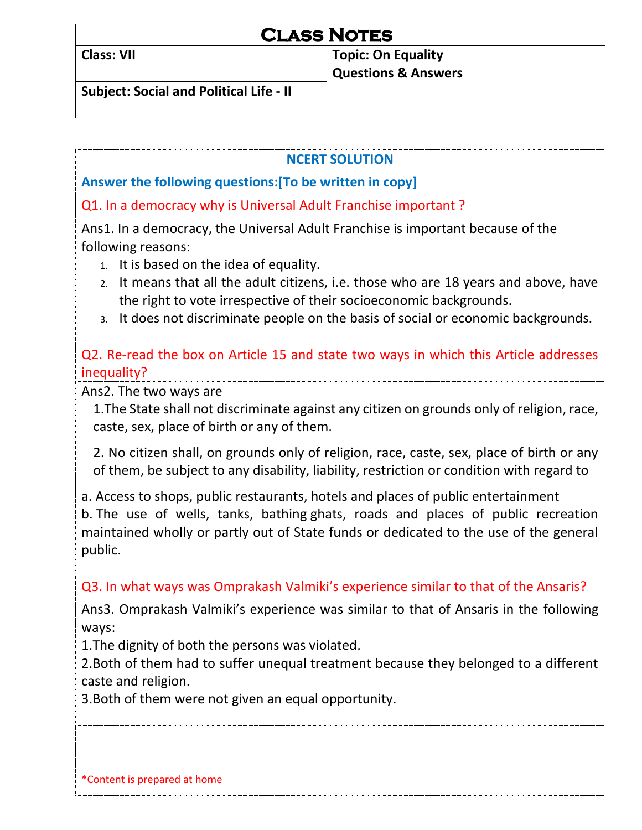| <b>CLASS NOTES</b>                             |                                                             |  |
|------------------------------------------------|-------------------------------------------------------------|--|
| <b>Class: VII</b>                              | <b>Topic: On Equality</b><br><b>Questions &amp; Answers</b> |  |
| <b>Subject: Social and Political Life - II</b> |                                                             |  |

## **NCERT SOLUTION**

**Answer the following questions:[To be written in copy]** 

Q1. In a democracy why is Universal Adult Franchise important ?

Ans1. In a democracy, the Universal Adult Franchise is important because of the following reasons:

- 1. It is based on the idea of equality.
- 2. It means that all the adult citizens, i.e. those who are 18 years and above, have the right to vote irrespective of their socioeconomic backgrounds.
- 3. It does not discriminate people on the basis of social or economic backgrounds.

• Q2. Re-read the box on Article 15 and state two ways in which this Article addresses inequality?

Ans2. The two ways are

1.The State shall not discriminate against any citizen on grounds only of religion, race, caste, sex, place of birth or any of them.

2. No citizen shall, on grounds only of religion, race, caste, sex, place of birth or any of them, be subject to any disability, liability, restriction or condition with regard to

a. Access to shops, public restaurants, hotels and places of public entertainment b. The use of wells, tanks, bathing ghats, roads and places of public recreation maintained wholly or partly out of State funds or dedicated to the use of the general public.

Q3. In what ways was Omprakash Valmiki's experience similar to that of the Ansaris?

Ans3. Omprakash Valmiki's experience was similar to that of Ansaris in the following ways:

1.The dignity of both the persons was violated.

2.Both of them had to suffer unequal treatment because they belonged to a different caste and religion.

3.Both of them were not given an equal opportunity.

\*Content is prepared at home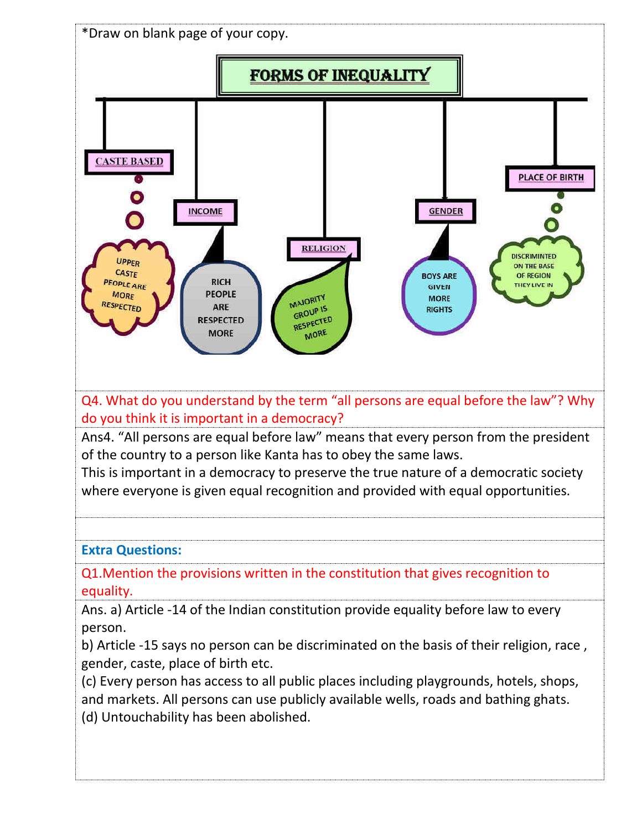